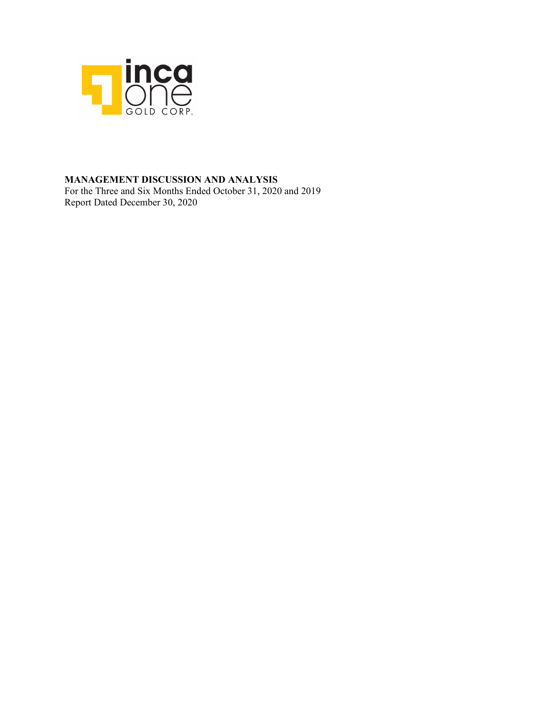

### **MANAGEMENT DISCUSSION AND ANALYSIS**

For the Three and Six Months Ended October 31, 2020 and 2019 Report Dated December 30, 2020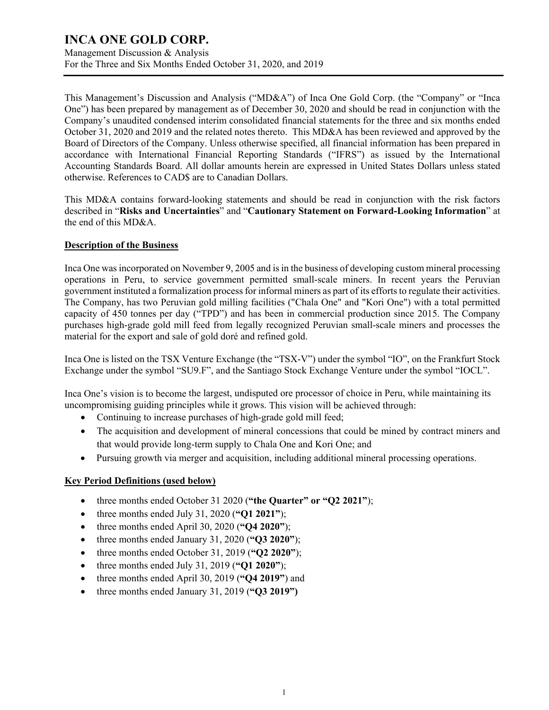Management Discussion & Analysis For the Three and Six Months Ended October 31, 2020, and 2019

This Management's Discussion and Analysis ("MD&A") of Inca One Gold Corp. (the "Company" or "Inca One") has been prepared by management as of December 30, 2020 and should be read in conjunction with the Company's unaudited condensed interim consolidated financial statements for the three and six months ended October 31, 2020 and 2019 and the related notes thereto. This MD&A has been reviewed and approved by the Board of Directors of the Company. Unless otherwise specified, all financial information has been prepared in accordance with International Financial Reporting Standards ("IFRS") as issued by the International Accounting Standards Board. All dollar amounts herein are expressed in United States Dollars unless stated otherwise. References to CAD\$ are to Canadian Dollars.

This MD&A contains forward-looking statements and should be read in conjunction with the risk factors described in "**Risks and Uncertainties**" and "**Cautionary Statement on Forward-Looking Information**" at the end of this MD&A.

#### **Description of the Business**

Inca One was incorporated on November 9, 2005 and is in the business of developing custom mineral processing operations in Peru, to service government permitted small-scale miners. In recent years the Peruvian government instituted a formalization process for informal miners as part of its efforts to regulate their activities. The Company, has two Peruvian gold milling facilities ("Chala One" and "Kori One") with a total permitted capacity of 450 tonnes per day ("TPD") and has been in commercial production since 2015. The Company purchases high-grade gold mill feed from legally recognized Peruvian small-scale miners and processes the material for the export and sale of gold doré and refined gold.

Inca One is listed on the TSX Venture Exchange (the "TSX-V") under the symbol "IO", on the Frankfurt Stock Exchange under the symbol "SU9.F", and the Santiago Stock Exchange Venture under the symbol "IOCL".

Inca One's vision is to become the largest, undisputed ore processor of choice in Peru, while maintaining its uncompromising guiding principles while it grows. This vision will be achieved through:

- Continuing to increase purchases of high-grade gold mill feed;
- The acquisition and development of mineral concessions that could be mined by contract miners and that would provide long-term supply to Chala One and Kori One; and
- Pursuing growth via merger and acquisition, including additional mineral processing operations.

#### **Key Period Definitions (used below)**

- three months ended October 31 2020 (**"the Quarter" or "Q2 2021"**);
- three months ended July 31, 2020 (**"Q1 2021"**);
- three months ended April 30, 2020 (**"Q4 2020"**);
- three months ended January 31, 2020 (**"Q3 2020"**);
- three months ended October 31, 2019 (**"Q2 2020"**);
- three months ended July 31, 2019 (**"Q1 2020"**);
- three months ended April 30, 2019 (**"Q4 2019"**) and
- three months ended January 31, 2019 (**"Q3 2019")**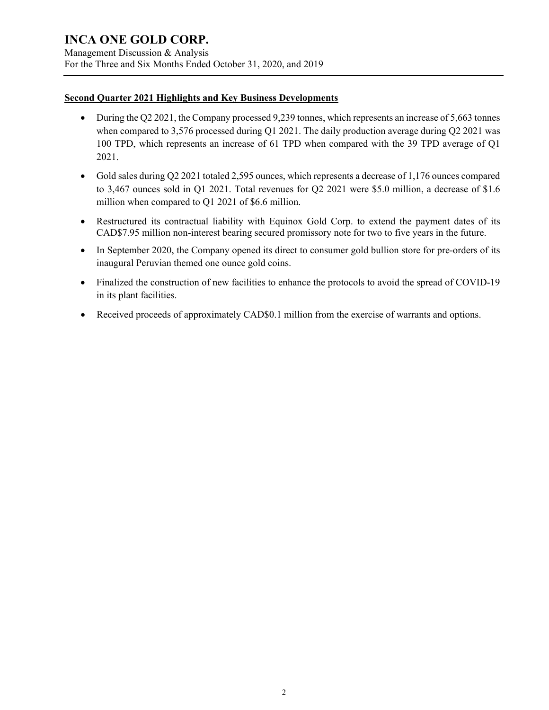Management Discussion & Analysis For the Three and Six Months Ended October 31, 2020, and 2019

#### **Second Quarter 2021 Highlights and Key Business Developments**

- During the Q2 2021, the Company processed 9,239 tonnes, which represents an increase of 5,663 tonnes when compared to 3,576 processed during Q1 2021. The daily production average during Q2 2021 was 100 TPD, which represents an increase of 61 TPD when compared with the 39 TPD average of Q1 2021.
- Gold sales during Q2 2021 totaled 2,595 ounces, which represents a decrease of 1,176 ounces compared to 3,467 ounces sold in Q1 2021. Total revenues for Q2 2021 were \$5.0 million, a decrease of \$1.6 million when compared to Q1 2021 of \$6.6 million.
- Restructured its contractual liability with Equinox Gold Corp. to extend the payment dates of its CAD\$7.95 million non-interest bearing secured promissory note for two to five years in the future.
- In September 2020, the Company opened its direct to consumer gold bullion store for pre-orders of its inaugural Peruvian themed one ounce gold coins.
- Finalized the construction of new facilities to enhance the protocols to avoid the spread of COVID-19 in its plant facilities.
- Received proceeds of approximately CAD\$0.1 million from the exercise of warrants and options.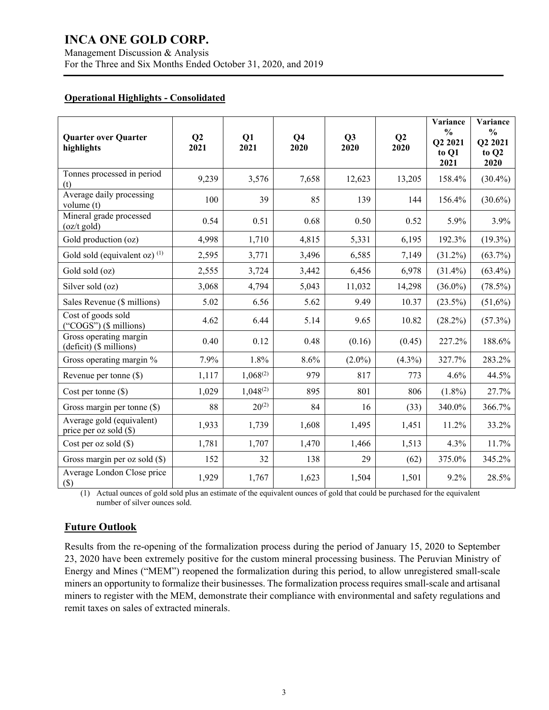#### **Operational Highlights - Consolidated**

| <b>Quarter over Quarter</b><br>highlights             | Q2<br>2021 | Q1<br>2021    | Q <sub>4</sub><br>2020 | Q3<br>2020 | Q2<br>2020 | Variance<br>$\frac{0}{0}$<br>Q2 2021<br>to Q1<br>2021 | Variance<br>$\frac{0}{0}$<br>Q2 2021<br>to Q2<br>2020 |
|-------------------------------------------------------|------------|---------------|------------------------|------------|------------|-------------------------------------------------------|-------------------------------------------------------|
| Tonnes processed in period<br>(t)                     | 9,239      | 3,576         | 7,658                  | 12,623     | 13,205     | 158.4%                                                | $(30.4\%)$                                            |
| Average daily processing<br>volume (t)                | 100        | 39            | 85                     | 139        | 144        | 156.4%                                                | $(30.6\%)$                                            |
| Mineral grade processed<br>$(oz/t \text{ gold})$      | 0.54       | 0.51          | 0.68                   | 0.50       | 0.52       | 5.9%                                                  | 3.9%                                                  |
| Gold production (oz)                                  | 4,998      | 1,710         | 4,815                  | 5,331      | 6,195      | 192.3%                                                | $(19.3\%)$                                            |
| Gold sold (equivalent oz) $(1)$                       | 2,595      | 3,771         | 3,496                  | 6,585      | 7,149      | $(31.2\%)$                                            | $(63.7\%)$                                            |
| Gold sold (oz)                                        | 2,555      | 3,724         | 3,442                  | 6,456      | 6,978      | $(31.4\%)$                                            | $(63.4\%)$                                            |
| Silver sold (oz)                                      | 3,068      | 4,794         | 5,043                  | 11,032     | 14,298     | $(36.0\%)$                                            | $(78.5\%)$                                            |
| Sales Revenue (\$ millions)                           | 5.02       | 6.56          | 5.62                   | 9.49       | 10.37      | $(23.5\%)$                                            | $(51,6\%)$                                            |
| Cost of goods sold<br>("COGS") $($$ millions)         | 4.62       | 6.44          | 5.14                   | 9.65       | 10.82      | (28.2%)                                               | (57.3%)                                               |
| Gross operating margin<br>(deficit) (\$ millions)     | 0.40       | 0.12          | 0.48                   | (0.16)     | (0.45)     | 227.2%                                                | 188.6%                                                |
| Gross operating margin %                              | 7.9%       | 1.8%          | 8.6%                   | $(2.0\%)$  | $(4.3\%)$  | 327.7%                                                | 283.2%                                                |
| Revenue per tonne (\$)                                | 1,117      | $1,068^{(2)}$ | 979                    | 817        | 773        | 4.6%                                                  | 44.5%                                                 |
| Cost per tonne $(\$)$                                 | 1,029      | $1,048^{(2)}$ | 895                    | 801        | 806        | $(1.8\%)$                                             | 27.7%                                                 |
| Gross margin per tonne (\$)                           | 88         | $20^{(2)}$    | 84                     | 16         | (33)       | 340.0%                                                | 366.7%                                                |
| Average gold (equivalent)<br>price per oz sold $(\$)$ | 1,933      | 1,739         | 1,608                  | 1,495      | 1,451      | 11.2%                                                 | 33.2%                                                 |
| Cost per oz sold $(\$)$                               | 1,781      | 1,707         | 1,470                  | 1,466      | 1,513      | 4.3%                                                  | 11.7%                                                 |
| Gross margin per oz sold $(\$)$                       | 152        | 32            | 138                    | 29         | (62)       | 375.0%                                                | 345.2%                                                |
| Average London Close price<br>$(\$)$                  | 1,929      | 1,767         | 1,623                  | 1,504      | 1,501      | 9.2%                                                  | 28.5%                                                 |

(1) Actual ounces of gold sold plus an estimate of the equivalent ounces of gold that could be purchased for the equivalent number of silver ounces sold.

### **Future Outlook**

Results from the re-opening of the formalization process during the period of January 15, 2020 to September 23, 2020 have been extremely positive for the custom mineral processing business. The Peruvian Ministry of Energy and Mines ("MEM") reopened the formalization during this period, to allow unregistered small-scale miners an opportunity to formalize their businesses. The formalization process requires small-scale and artisanal miners to register with the MEM, demonstrate their compliance with environmental and safety regulations and remit taxes on sales of extracted minerals.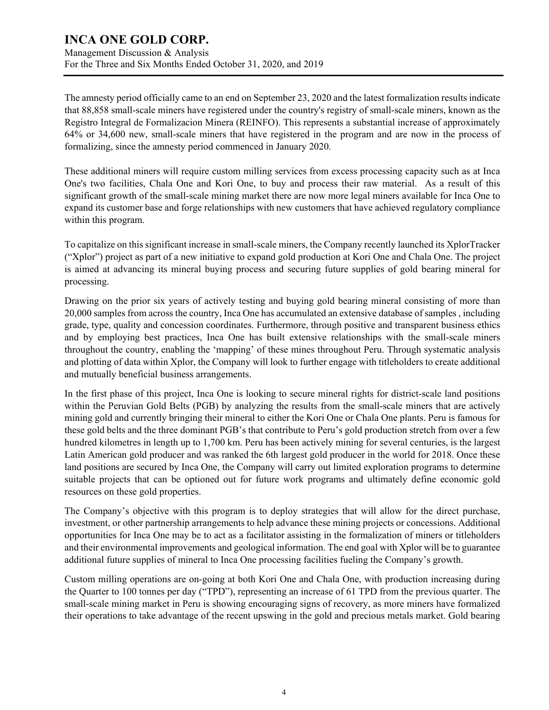Management Discussion & Analysis For the Three and Six Months Ended October 31, 2020, and 2019

The amnesty period officially came to an end on September 23, 2020 and the latest formalization results indicate that 88,858 small-scale miners have registered under the country's registry of small-scale miners, known as the Registro Integral de Formalizacion Minera (REINFO). This represents a substantial increase of approximately 64% or 34,600 new, small-scale miners that have registered in the program and are now in the process of formalizing, since the amnesty period commenced in January 2020.

These additional miners will require custom milling services from excess processing capacity such as at Inca One's two facilities, Chala One and Kori One, to buy and process their raw material. As a result of this significant growth of the small-scale mining market there are now more legal miners available for Inca One to expand its customer base and forge relationships with new customers that have achieved regulatory compliance within this program.

To capitalize on this significant increase in small-scale miners, the Company recently launched its XplorTracker ("Xplor") project as part of a new initiative to expand gold production at Kori One and Chala One. The project is aimed at advancing its mineral buying process and securing future supplies of gold bearing mineral for processing.

Drawing on the prior six years of actively testing and buying gold bearing mineral consisting of more than 20,000 samples from across the country, Inca One has accumulated an extensive database of samples , including grade, type, quality and concession coordinates. Furthermore, through positive and transparent business ethics and by employing best practices, Inca One has built extensive relationships with the small-scale miners throughout the country, enabling the 'mapping' of these mines throughout Peru. Through systematic analysis and plotting of data within Xplor, the Company will look to further engage with titleholders to create additional and mutually beneficial business arrangements.

In the first phase of this project, Inca One is looking to secure mineral rights for district-scale land positions within the Peruvian Gold Belts (PGB) by analyzing the results from the small-scale miners that are actively mining gold and currently bringing their mineral to either the Kori One or Chala One plants. Peru is famous for these gold belts and the three dominant PGB's that contribute to Peru's gold production stretch from over a few hundred kilometres in length up to 1,700 km. Peru has been actively mining for several centuries, is the largest Latin American gold producer and was ranked the 6th largest gold producer in the world for 2018. Once these land positions are secured by Inca One, the Company will carry out limited exploration programs to determine suitable projects that can be optioned out for future work programs and ultimately define economic gold resources on these gold properties.

The Company's objective with this program is to deploy strategies that will allow for the direct purchase, investment, or other partnership arrangements to help advance these mining projects or concessions. Additional opportunities for Inca One may be to act as a facilitator assisting in the formalization of miners or titleholders and their environmental improvements and geological information. The end goal with Xplor will be to guarantee additional future supplies of mineral to Inca One processing facilities fueling the Company's growth.

Custom milling operations are on-going at both Kori One and Chala One, with production increasing during the Quarter to 100 tonnes per day ("TPD"), representing an increase of 61 TPD from the previous quarter. The small-scale mining market in Peru is showing encouraging signs of recovery, as more miners have formalized their operations to take advantage of the recent upswing in the gold and precious metals market. Gold bearing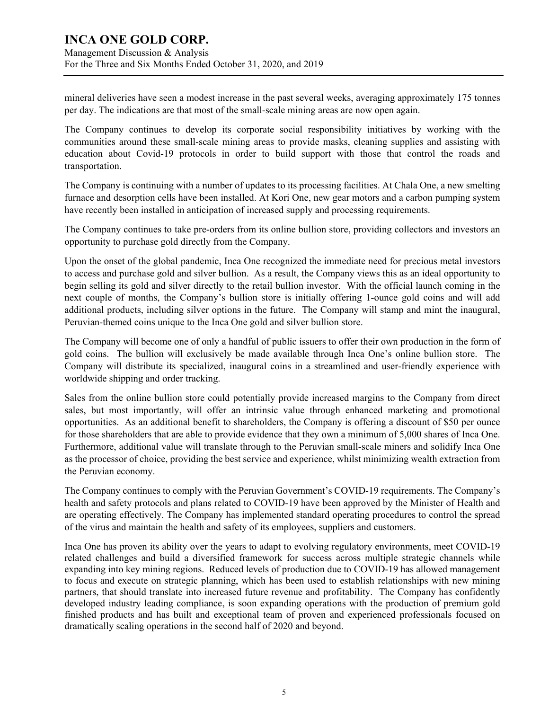### **INCA ONE GOLD CORP.** Management Discussion & Analysis

For the Three and Six Months Ended October 31, 2020, and 2019

mineral deliveries have seen a modest increase in the past several weeks, averaging approximately 175 tonnes per day. The indications are that most of the small-scale mining areas are now open again.

The Company continues to develop its corporate social responsibility initiatives by working with the communities around these small-scale mining areas to provide masks, cleaning supplies and assisting with education about Covid-19 protocols in order to build support with those that control the roads and transportation.

The Company is continuing with a number of updates to its processing facilities. At Chala One, a new smelting furnace and desorption cells have been installed. At Kori One, new gear motors and a carbon pumping system have recently been installed in anticipation of increased supply and processing requirements.

The Company continues to take pre-orders from its online bullion store, providing collectors and investors an opportunity to purchase gold directly from the Company.

Upon the onset of the global pandemic, Inca One recognized the immediate need for precious metal investors to access and purchase gold and silver bullion. As a result, the Company views this as an ideal opportunity to begin selling its gold and silver directly to the retail bullion investor. With the official launch coming in the next couple of months, the Company's bullion store is initially offering 1-ounce gold coins and will add additional products, including silver options in the future. The Company will stamp and mint the inaugural, Peruvian-themed coins unique to the Inca One gold and silver bullion store.

The Company will become one of only a handful of public issuers to offer their own production in the form of gold coins. The bullion will exclusively be made available through Inca One's online bullion store. The Company will distribute its specialized, inaugural coins in a streamlined and user-friendly experience with worldwide shipping and order tracking.

Sales from the online bullion store could potentially provide increased margins to the Company from direct sales, but most importantly, will offer an intrinsic value through enhanced marketing and promotional opportunities. As an additional benefit to shareholders, the Company is offering a discount of \$50 per ounce for those shareholders that are able to provide evidence that they own a minimum of 5,000 shares of Inca One. Furthermore, additional value will translate through to the Peruvian small-scale miners and solidify Inca One as the processor of choice, providing the best service and experience, whilst minimizing wealth extraction from the Peruvian economy.

The Company continues to comply with the Peruvian Government's COVID-19 requirements. The Company's health and safety protocols and plans related to COVID-19 have been approved by the Minister of Health and are operating effectively. The Company has implemented standard operating procedures to control the spread of the virus and maintain the health and safety of its employees, suppliers and customers.

Inca One has proven its ability over the years to adapt to evolving regulatory environments, meet COVID-19 related challenges and build a diversified framework for success across multiple strategic channels while expanding into key mining regions. Reduced levels of production due to COVID-19 has allowed management to focus and execute on strategic planning, which has been used to establish relationships with new mining partners, that should translate into increased future revenue and profitability. The Company has confidently developed industry leading compliance, is soon expanding operations with the production of premium gold finished products and has built and exceptional team of proven and experienced professionals focused on dramatically scaling operations in the second half of 2020 and beyond.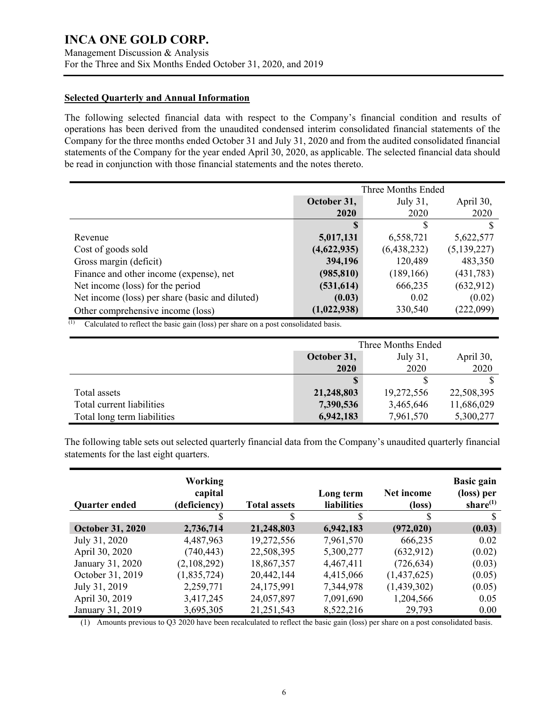Management Discussion & Analysis For the Three and Six Months Ended October 31, 2020, and 2019

#### **Selected Quarterly and Annual Information**

The following selected financial data with respect to the Company's financial condition and results of operations has been derived from the unaudited condensed interim consolidated financial statements of the Company for the three months ended October 31 and July 31, 2020 and from the audited consolidated financial statements of the Company for the year ended April 30, 2020, as applicable. The selected financial data should be read in conjunction with those financial statements and the notes thereto.

|                                                 | Three Months Ended                      |             |               |  |
|-------------------------------------------------|-----------------------------------------|-------------|---------------|--|
|                                                 | July $31$ ,<br>April 30,<br>October 31, |             |               |  |
|                                                 | 2020                                    | 2020        | 2020          |  |
|                                                 |                                         |             | S             |  |
| Revenue                                         | 5,017,131                               | 6,558,721   | 5,622,577     |  |
| Cost of goods sold                              | (4,622,935)                             | (6,438,232) | (5, 139, 227) |  |
| Gross margin (deficit)                          | 394,196                                 | 120,489     | 483,350       |  |
| Finance and other income (expense), net         | (985, 810)                              | (189, 166)  | (431,783)     |  |
| Net income (loss) for the period                | (531, 614)                              | 666,235     | (632, 912)    |  |
| Net income (loss) per share (basic and diluted) | (0.03)                                  | 0.02        | (0.02)        |  |
| Other comprehensive income (loss)               | (1,022,938)                             | 330,540     | (222,099)     |  |

(1) Calculated to reflect the basic gain (loss) per share on a post consolidated basis.

|                             | Three Months Ended                   |            |            |  |
|-----------------------------|--------------------------------------|------------|------------|--|
|                             | October 31,<br>July 31,<br>April 30, |            |            |  |
|                             | 2020                                 | 2020       | 2020       |  |
|                             |                                      |            |            |  |
| Total assets                | 21,248,803                           | 19,272,556 | 22,508,395 |  |
| Total current liabilities   | 7,390,536                            | 3,465,646  | 11,686,029 |  |
| Total long term liabilities | 6,942,183                            | 7,961,570  | 5,300,277  |  |

The following table sets out selected quarterly financial data from the Company's unaudited quarterly financial statements for the last eight quarters.

| <b>Quarter ended</b>    | Working<br>capital<br>(deficiency) | <b>Total assets</b> | Long term<br><b>liabilities</b> | Net income<br>(loss) | <b>Basic gain</b><br>(loss) per<br>share $(1)$ |
|-------------------------|------------------------------------|---------------------|---------------------------------|----------------------|------------------------------------------------|
|                         |                                    | S                   | S                               |                      | S                                              |
| <b>October 31, 2020</b> | 2,736,714                          | 21,248,803          | 6,942,183                       | (972, 020)           | (0.03)                                         |
| July 31, 2020           | 4,487,963                          | 19,272,556          | 7,961,570                       | 666,235              | 0.02                                           |
| April 30, 2020          | (740, 443)                         | 22,508,395          | 5,300,277                       | (632, 912)           | (0.02)                                         |
| January 31, 2020        | (2,108,292)                        | 18,867,357          | 4,467,411                       | (726, 634)           | (0.03)                                         |
| October 31, 2019        | (1,835,724)                        | 20,442,144          | 4,415,066                       | (1,437,625)          | (0.05)                                         |
| July 31, 2019           | 2,259,771                          | 24,175,991          | 7,344,978                       | (1,439,302)          | (0.05)                                         |
| April 30, 2019          | 3,417,245                          | 24,057,897          | 7,091,690                       | 1,204,566            | 0.05                                           |
| January 31, 2019        | 3,695,305                          | 21,251,543          | 8,522,216                       | 29,793               | 0.00                                           |

(1) Amounts previous to Q3 2020 have been recalculated to reflect the basic gain (loss) per share on a post consolidated basis.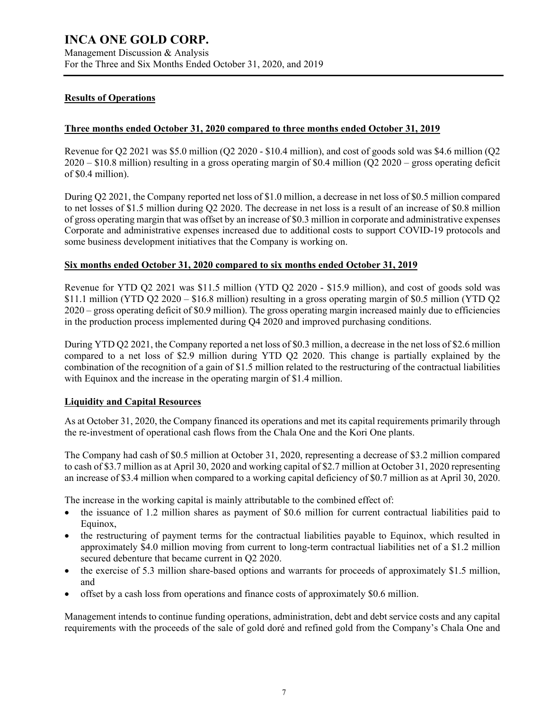#### **Results of Operations**

#### **Three months ended October 31, 2020 compared to three months ended October 31, 2019**

Revenue for Q2 2021 was \$5.0 million (Q2 2020 - \$10.4 million), and cost of goods sold was \$4.6 million (Q2 2020 – \$10.8 million) resulting in a gross operating margin of \$0.4 million (Q2 2020 – gross operating deficit of \$0.4 million).

During Q2 2021, the Company reported net loss of \$1.0 million, a decrease in net loss of \$0.5 million compared to net losses of \$1.5 million during Q2 2020. The decrease in net loss is a result of an increase of \$0.8 million of gross operating margin that was offset by an increase of \$0.3 million in corporate and administrative expenses Corporate and administrative expenses increased due to additional costs to support COVID-19 protocols and some business development initiatives that the Company is working on.

#### **Six months ended October 31, 2020 compared to six months ended October 31, 2019**

Revenue for YTD Q2 2021 was \$11.5 million (YTD Q2 2020 - \$15.9 million), and cost of goods sold was \$11.1 million (YTD Q2 2020 – \$16.8 million) resulting in a gross operating margin of \$0.5 million (YTD Q2 2020 – gross operating deficit of \$0.9 million). The gross operating margin increased mainly due to efficiencies in the production process implemented during Q4 2020 and improved purchasing conditions.

During YTD Q2 2021, the Company reported a net loss of \$0.3 million, a decrease in the net loss of \$2.6 million compared to a net loss of \$2.9 million during YTD Q2 2020. This change is partially explained by the combination of the recognition of a gain of \$1.5 million related to the restructuring of the contractual liabilities with Equinox and the increase in the operating margin of \$1.4 million.

#### **Liquidity and Capital Resources**

As at October 31, 2020, the Company financed its operations and met its capital requirements primarily through the re-investment of operational cash flows from the Chala One and the Kori One plants.

The Company had cash of \$0.5 million at October 31, 2020, representing a decrease of \$3.2 million compared to cash of \$3.7 million as at April 30, 2020 and working capital of \$2.7 million at October 31, 2020 representing an increase of \$3.4 million when compared to a working capital deficiency of \$0.7 million as at April 30, 2020.

The increase in the working capital is mainly attributable to the combined effect of:

- the issuance of 1.2 million shares as payment of \$0.6 million for current contractual liabilities paid to Equinox,
- the restructuring of payment terms for the contractual liabilities payable to Equinox, which resulted in approximately \$4.0 million moving from current to long-term contractual liabilities net of a \$1.2 million secured debenture that became current in Q2 2020.
- the exercise of 5.3 million share-based options and warrants for proceeds of approximately \$1.5 million, and
- offset by a cash loss from operations and finance costs of approximately \$0.6 million.

Management intends to continue funding operations, administration, debt and debt service costs and any capital requirements with the proceeds of the sale of gold doré and refined gold from the Company's Chala One and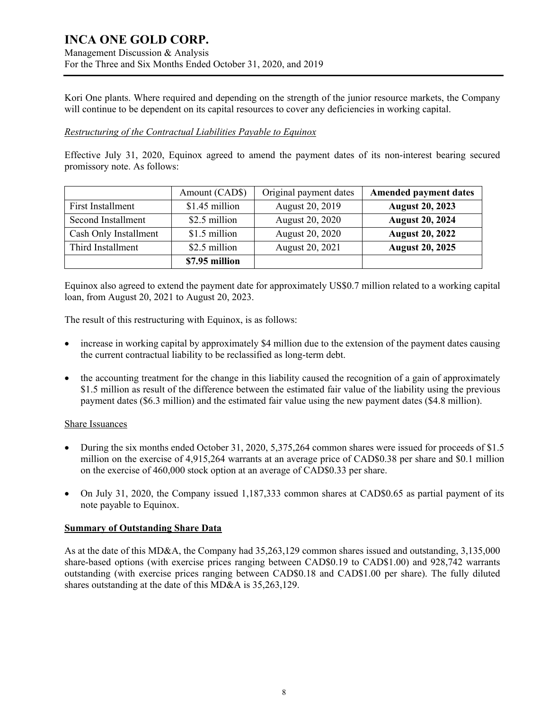### **INCA ONE GOLD CORP.** Management Discussion & Analysis For the Three and Six Months Ended October 31, 2020, and 2019

Kori One plants. Where required and depending on the strength of the junior resource markets, the Company will continue to be dependent on its capital resources to cover any deficiencies in working capital.

#### *Restructuring of the Contractual Liabilities Payable to Equinox*

Effective July 31, 2020, Equinox agreed to amend the payment dates of its non-interest bearing secured promissory note. As follows:

|                       | Amount (CAD\$) | Original payment dates | <b>Amended payment dates</b> |
|-----------------------|----------------|------------------------|------------------------------|
| First Installment     | \$1.45 million | August 20, 2019        | <b>August 20, 2023</b>       |
| Second Installment    | \$2.5 million  | August 20, 2020        | <b>August 20, 2024</b>       |
| Cash Only Installment | \$1.5 million  | August 20, 2020        | <b>August 20, 2022</b>       |
| Third Installment     | \$2.5 million  | August 20, 2021        | <b>August 20, 2025</b>       |
|                       | \$7.95 million |                        |                              |

Equinox also agreed to extend the payment date for approximately US\$0.7 million related to a working capital loan, from August 20, 2021 to August 20, 2023.

The result of this restructuring with Equinox, is as follows:

- increase in working capital by approximately \$4 million due to the extension of the payment dates causing the current contractual liability to be reclassified as long-term debt.
- the accounting treatment for the change in this liability caused the recognition of a gain of approximately \$1.5 million as result of the difference between the estimated fair value of the liability using the previous payment dates (\$6.3 million) and the estimated fair value using the new payment dates (\$4.8 million).

#### Share Issuances

- During the six months ended October 31, 2020, 5,375,264 common shares were issued for proceeds of \$1.5 million on the exercise of 4,915,264 warrants at an average price of CAD\$0.38 per share and \$0.1 million on the exercise of 460,000 stock option at an average of CAD\$0.33 per share.
- On July 31, 2020, the Company issued 1,187,333 common shares at CAD\$0.65 as partial payment of its note payable to Equinox.

#### **Summary of Outstanding Share Data**

As at the date of this MD&A, the Company had 35,263,129 common shares issued and outstanding, 3,135,000 share-based options (with exercise prices ranging between CAD\$0.19 to CAD\$1.00) and 928,742 warrants outstanding (with exercise prices ranging between CAD\$0.18 and CAD\$1.00 per share). The fully diluted shares outstanding at the date of this MD&A is 35,263,129.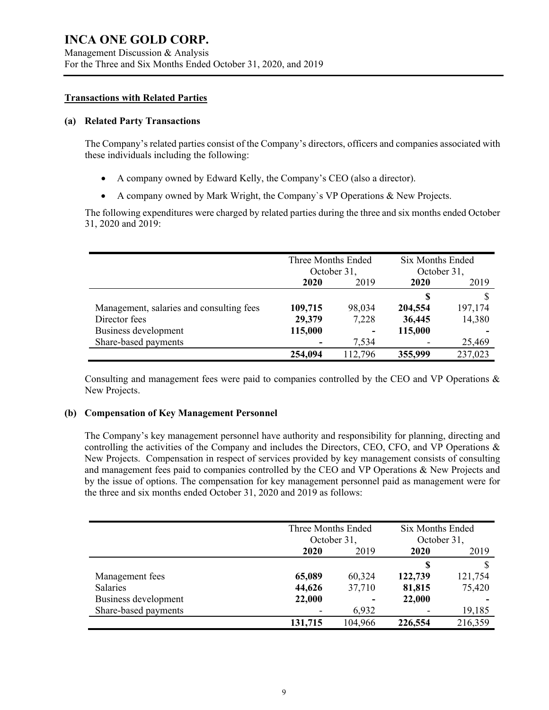#### **Transactions with Related Parties**

#### **(a) Related Party Transactions**

The Company's related parties consist of the Company's directors, officers and companies associated with these individuals including the following:

- A company owned by Edward Kelly, the Company's CEO (also a director).
- A company owned by Mark Wright, the Company`s VP Operations & New Projects.

The following expenditures were charged by related parties during the three and six months ended October 31, 2020 and 2019:

|                                          | Three Months Ended<br>October 31, |         | <b>Six Months Ended</b><br>October 31, |         |
|------------------------------------------|-----------------------------------|---------|----------------------------------------|---------|
|                                          | 2019<br>2020                      |         | 2020                                   | 2019    |
|                                          |                                   |         | S                                      | ¢       |
| Management, salaries and consulting fees | 109,715                           | 98,034  | 204,554                                | 197,174 |
| Director fees                            | 29,379                            | 7,228   | 36,445                                 | 14,380  |
| Business development                     | 115,000                           | -       | 115,000                                |         |
| Share-based payments                     |                                   | 7,534   |                                        | 25,469  |
|                                          | 254,094                           | 112,796 | 355,999                                | 237,023 |

Consulting and management fees were paid to companies controlled by the CEO and VP Operations & New Projects.

#### **(b) Compensation of Key Management Personnel**

The Company's key management personnel have authority and responsibility for planning, directing and controlling the activities of the Company and includes the Directors, CEO, CFO, and VP Operations & New Projects. Compensation in respect of services provided by key management consists of consulting and management fees paid to companies controlled by the CEO and VP Operations & New Projects and by the issue of options. The compensation for key management personnel paid as management were for the three and six months ended October 31, 2020 and 2019 as follows:

|                      |         | Three Months Ended<br>October 31, |         | <b>Six Months Ended</b><br>October 31, |
|----------------------|---------|-----------------------------------|---------|----------------------------------------|
|                      | 2020    | 2019                              | 2020    | 2019                                   |
|                      |         |                                   | S       |                                        |
| Management fees      | 65,089  | 60,324                            | 122,739 | 121,754                                |
| <b>Salaries</b>      | 44,626  | 37,710                            | 81,815  | 75,420                                 |
| Business development | 22,000  | ۰                                 | 22,000  |                                        |
| Share-based payments |         | 6,932                             |         | 19,185                                 |
|                      | 131,715 | 104,966                           | 226,554 | 216,359                                |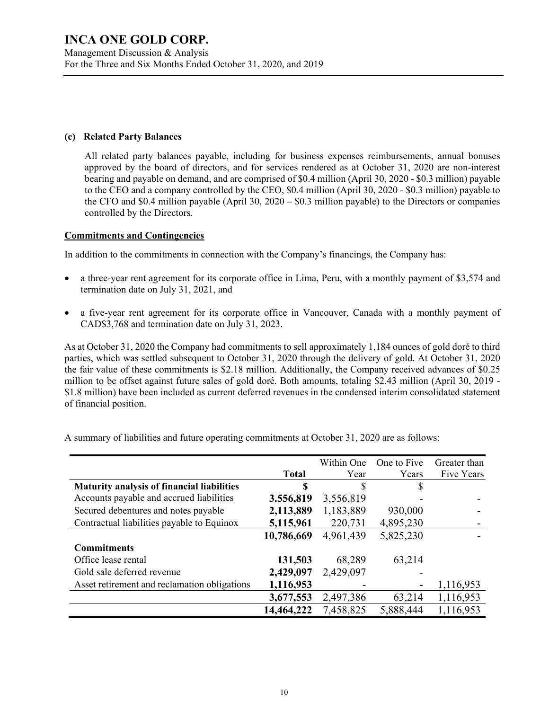#### **(c) Related Party Balances**

All related party balances payable, including for business expenses reimbursements, annual bonuses approved by the board of directors, and for services rendered as at October 31, 2020 are non-interest bearing and payable on demand, and are comprised of \$0.4 million (April 30, 2020 - \$0.3 million) payable to the CEO and a company controlled by the CEO, \$0.4 million (April 30, 2020 - \$0.3 million) payable to the CFO and \$0.4 million payable (April 30, 2020 – \$0.3 million payable) to the Directors or companies controlled by the Directors.

#### **Commitments and Contingencies**

In addition to the commitments in connection with the Company's financings, the Company has:

- a three-year rent agreement for its corporate office in Lima, Peru, with a monthly payment of \$3,574 and termination date on July 31, 2021, and
- a five-year rent agreement for its corporate office in Vancouver, Canada with a monthly payment of CAD\$3,768 and termination date on July 31, 2023.

As at October 31, 2020 the Company had commitments to sell approximately 1,184 ounces of gold doré to third parties, which was settled subsequent to October 31, 2020 through the delivery of gold. At October 31, 2020 the fair value of these commitments is \$2.18 million. Additionally, the Company received advances of \$0.25 million to be offset against future sales of gold doré. Both amounts, totaling \$2.43 million (April 30, 2019 - \$1.8 million) have been included as current deferred revenues in the condensed interim consolidated statement of financial position.

|                                              |              | Within One | One to Five | Greater than |
|----------------------------------------------|--------------|------------|-------------|--------------|
|                                              | <b>Total</b> | Year       | Years       | Five Years   |
| Maturity analysis of financial liabilities   | \$           | \$         | S           |              |
| Accounts payable and accrued liabilities     | 3.556,819    | 3,556,819  |             |              |
| Secured debentures and notes payable         | 2,113,889    | 1,183,889  | 930,000     |              |
| Contractual liabilities payable to Equinox   | 5,115,961    | 220,731    | 4,895,230   |              |
|                                              | 10,786,669   | 4,961,439  | 5,825,230   |              |
| <b>Commitments</b>                           |              |            |             |              |
| Office lease rental                          | 131,503      | 68,289     | 63,214      |              |
| Gold sale deferred revenue                   | 2,429,097    | 2,429,097  |             |              |
| Asset retirement and reclamation obligations | 1,116,953    |            |             | 1,116,953    |
|                                              | 3,677,553    | 2,497,386  | 63,214      | 1,116,953    |
|                                              | 14,464,222   | 7,458,825  | 5,888,444   | 1,116,953    |

A summary of liabilities and future operating commitments at October 31, 2020 are as follows: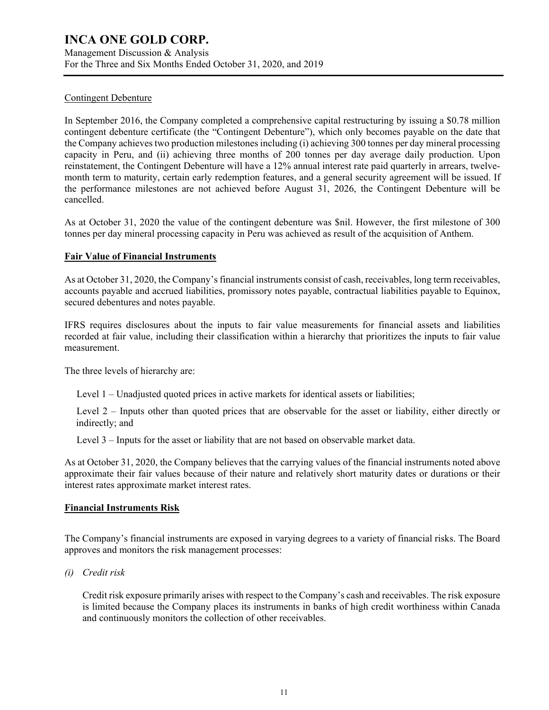Management Discussion & Analysis For the Three and Six Months Ended October 31, 2020, and 2019

#### Contingent Debenture

In September 2016, the Company completed a comprehensive capital restructuring by issuing a \$0.78 million contingent debenture certificate (the "Contingent Debenture"), which only becomes payable on the date that the Company achieves two production milestones including (i) achieving 300 tonnes per day mineral processing capacity in Peru, and (ii) achieving three months of 200 tonnes per day average daily production. Upon reinstatement, the Contingent Debenture will have a 12% annual interest rate paid quarterly in arrears, twelvemonth term to maturity, certain early redemption features, and a general security agreement will be issued. If the performance milestones are not achieved before August 31, 2026, the Contingent Debenture will be cancelled.

As at October 31, 2020 the value of the contingent debenture was \$nil. However, the first milestone of 300 tonnes per day mineral processing capacity in Peru was achieved as result of the acquisition of Anthem.

#### **Fair Value of Financial Instruments**

As at October 31, 2020, the Company's financial instruments consist of cash, receivables, long term receivables, accounts payable and accrued liabilities, promissory notes payable, contractual liabilities payable to Equinox, secured debentures and notes payable.

IFRS requires disclosures about the inputs to fair value measurements for financial assets and liabilities recorded at fair value, including their classification within a hierarchy that prioritizes the inputs to fair value measurement.

The three levels of hierarchy are:

Level 1 – Unadjusted quoted prices in active markets for identical assets or liabilities;

Level 2 – Inputs other than quoted prices that are observable for the asset or liability, either directly or indirectly; and

Level 3 – Inputs for the asset or liability that are not based on observable market data.

As at October 31, 2020, the Company believes that the carrying values of the financial instruments noted above approximate their fair values because of their nature and relatively short maturity dates or durations or their interest rates approximate market interest rates.

#### **Financial Instruments Risk**

The Company's financial instruments are exposed in varying degrees to a variety of financial risks. The Board approves and monitors the risk management processes:

*(i) Credit risk*

Credit risk exposure primarily arises with respect to the Company's cash and receivables. The risk exposure is limited because the Company places its instruments in banks of high credit worthiness within Canada and continuously monitors the collection of other receivables.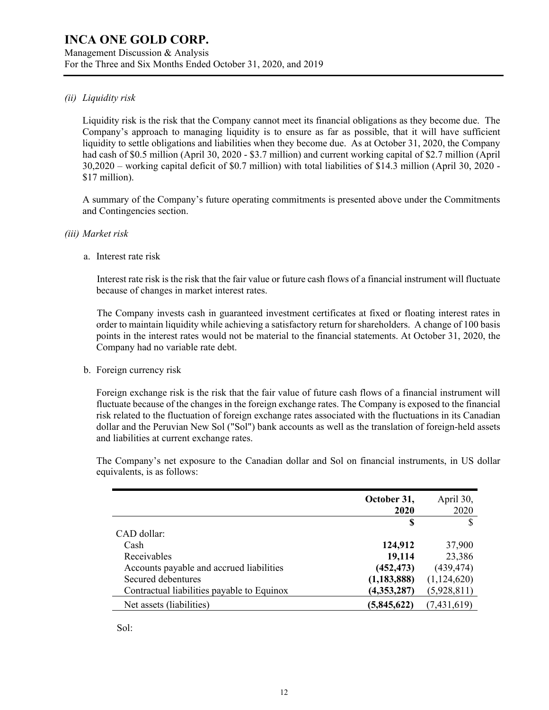#### Management Discussion & Analysis For the Three and Six Months Ended October 31, 2020, and 2019

#### *(ii) Liquidity risk*

Liquidity risk is the risk that the Company cannot meet its financial obligations as they become due. The Company's approach to managing liquidity is to ensure as far as possible, that it will have sufficient liquidity to settle obligations and liabilities when they become due. As at October 31, 2020, the Company had cash of \$0.5 million (April 30, 2020 - \$3.7 million) and current working capital of \$2.7 million (April 30,2020 – working capital deficit of \$0.7 million) with total liabilities of \$14.3 million (April 30, 2020 - \$17 million).

A summary of the Company's future operating commitments is presented above under the Commitments and Contingencies section.

#### *(iii) Market risk*

a. Interest rate risk

Interest rate risk is the risk that the fair value or future cash flows of a financial instrument will fluctuate because of changes in market interest rates.

The Company invests cash in guaranteed investment certificates at fixed or floating interest rates in order to maintain liquidity while achieving a satisfactory return for shareholders. A change of 100 basis points in the interest rates would not be material to the financial statements. At October 31, 2020, the Company had no variable rate debt.

b. Foreign currency risk

Foreign exchange risk is the risk that the fair value of future cash flows of a financial instrument will fluctuate because of the changes in the foreign exchange rates. The Company is exposed to the financial risk related to the fluctuation of foreign exchange rates associated with the fluctuations in its Canadian dollar and the Peruvian New Sol ("Sol") bank accounts as well as the translation of foreign-held assets and liabilities at current exchange rates.

The Company's net exposure to the Canadian dollar and Sol on financial instruments, in US dollar equivalents, is as follows:

|                                            | October 31,<br>2020 | April 30,<br>2020 |
|--------------------------------------------|---------------------|-------------------|
|                                            | S                   | S                 |
| CAD dollar:                                |                     |                   |
| Cash                                       | 124,912             | 37,900            |
| Receivables                                | 19,114              | 23,386            |
| Accounts payable and accrued liabilities   | (452, 473)          | (439, 474)        |
| Secured debentures                         | (1, 183, 888)       | (1,124,620)       |
| Contractual liabilities payable to Equinox | (4,353,287)         | (5,928,811)       |
| Net assets (liabilities)                   | (5,845,622)         | (7,431,619)       |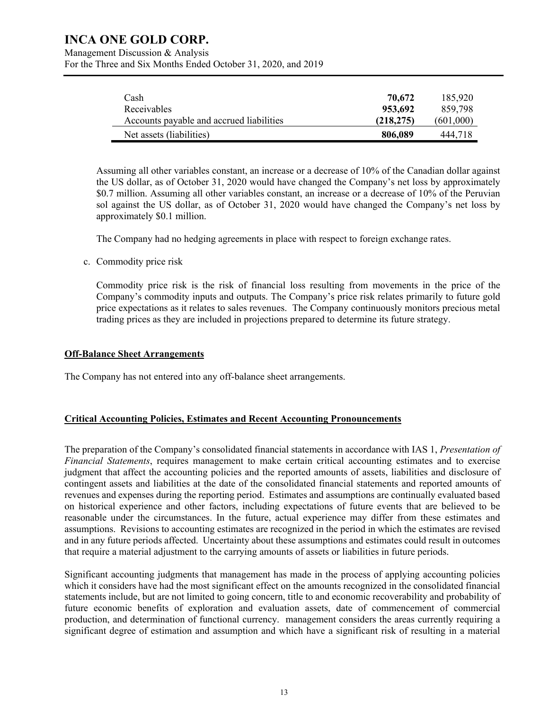Management Discussion & Analysis For the Three and Six Months Ended October 31, 2020, and 2019

| Cash                                     | 70.672     | 185,920   |
|------------------------------------------|------------|-----------|
| Receivables                              | 953.692    | 859.798   |
| Accounts payable and accrued liabilities | (218, 275) | (601.000) |
| Net assets (liabilities)                 | 806,089    | 444.718   |

Assuming all other variables constant, an increase or a decrease of 10% of the Canadian dollar against the US dollar, as of October 31, 2020 would have changed the Company's net loss by approximately \$0.7 million. Assuming all other variables constant, an increase or a decrease of 10% of the Peruvian sol against the US dollar, as of October 31, 2020 would have changed the Company's net loss by approximately \$0.1 million.

The Company had no hedging agreements in place with respect to foreign exchange rates.

c. Commodity price risk

Commodity price risk is the risk of financial loss resulting from movements in the price of the Company's commodity inputs and outputs. The Company's price risk relates primarily to future gold price expectations as it relates to sales revenues. The Company continuously monitors precious metal trading prices as they are included in projections prepared to determine its future strategy.

#### **Off-Balance Sheet Arrangements**

The Company has not entered into any off-balance sheet arrangements.

#### **Critical Accounting Policies, Estimates and Recent Accounting Pronouncements**

The preparation of the Company's consolidated financial statements in accordance with IAS 1, *Presentation of Financial Statements*, requires management to make certain critical accounting estimates and to exercise judgment that affect the accounting policies and the reported amounts of assets, liabilities and disclosure of contingent assets and liabilities at the date of the consolidated financial statements and reported amounts of revenues and expenses during the reporting period. Estimates and assumptions are continually evaluated based on historical experience and other factors, including expectations of future events that are believed to be reasonable under the circumstances. In the future, actual experience may differ from these estimates and assumptions. Revisions to accounting estimates are recognized in the period in which the estimates are revised and in any future periods affected. Uncertainty about these assumptions and estimates could result in outcomes that require a material adjustment to the carrying amounts of assets or liabilities in future periods.

Significant accounting judgments that management has made in the process of applying accounting policies which it considers have had the most significant effect on the amounts recognized in the consolidated financial statements include, but are not limited to going concern, title to and economic recoverability and probability of future economic benefits of exploration and evaluation assets, date of commencement of commercial production, and determination of functional currency. management considers the areas currently requiring a significant degree of estimation and assumption and which have a significant risk of resulting in a material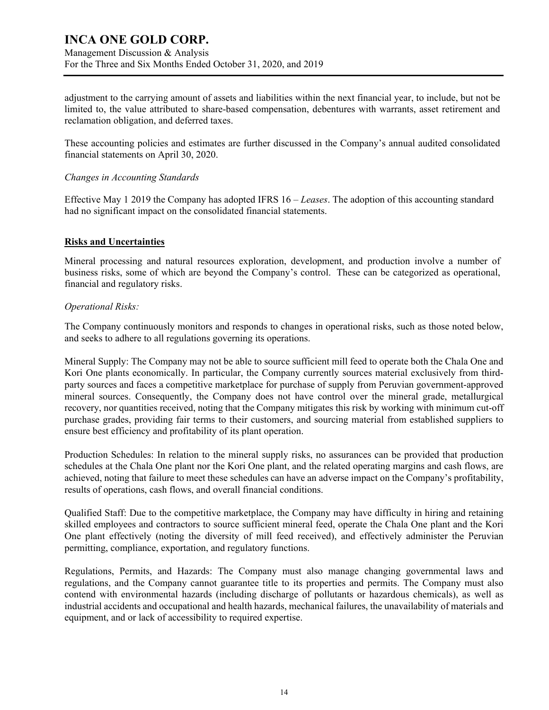Management Discussion & Analysis For the Three and Six Months Ended October 31, 2020, and 2019

adjustment to the carrying amount of assets and liabilities within the next financial year, to include, but not be limited to, the value attributed to share-based compensation, debentures with warrants, asset retirement and reclamation obligation, and deferred taxes.

These accounting policies and estimates are further discussed in the Company's annual audited consolidated financial statements on April 30, 2020.

#### *Changes in Accounting Standards*

Effective May 1 2019 the Company has adopted IFRS 16 – *Leases*. The adoption of this accounting standard had no significant impact on the consolidated financial statements.

#### **Risks and Uncertainties**

Mineral processing and natural resources exploration, development, and production involve a number of business risks, some of which are beyond the Company's control. These can be categorized as operational, financial and regulatory risks.

#### *Operational Risks:*

The Company continuously monitors and responds to changes in operational risks, such as those noted below, and seeks to adhere to all regulations governing its operations.

Mineral Supply: The Company may not be able to source sufficient mill feed to operate both the Chala One and Kori One plants economically. In particular, the Company currently sources material exclusively from thirdparty sources and faces a competitive marketplace for purchase of supply from Peruvian government-approved mineral sources. Consequently, the Company does not have control over the mineral grade, metallurgical recovery, nor quantities received, noting that the Company mitigates this risk by working with minimum cut-off purchase grades, providing fair terms to their customers, and sourcing material from established suppliers to ensure best efficiency and profitability of its plant operation.

Production Schedules: In relation to the mineral supply risks, no assurances can be provided that production schedules at the Chala One plant nor the Kori One plant, and the related operating margins and cash flows, are achieved, noting that failure to meet these schedules can have an adverse impact on the Company's profitability, results of operations, cash flows, and overall financial conditions.

Qualified Staff: Due to the competitive marketplace, the Company may have difficulty in hiring and retaining skilled employees and contractors to source sufficient mineral feed, operate the Chala One plant and the Kori One plant effectively (noting the diversity of mill feed received), and effectively administer the Peruvian permitting, compliance, exportation, and regulatory functions.

Regulations, Permits, and Hazards: The Company must also manage changing governmental laws and regulations, and the Company cannot guarantee title to its properties and permits. The Company must also contend with environmental hazards (including discharge of pollutants or hazardous chemicals), as well as industrial accidents and occupational and health hazards, mechanical failures, the unavailability of materials and equipment, and or lack of accessibility to required expertise.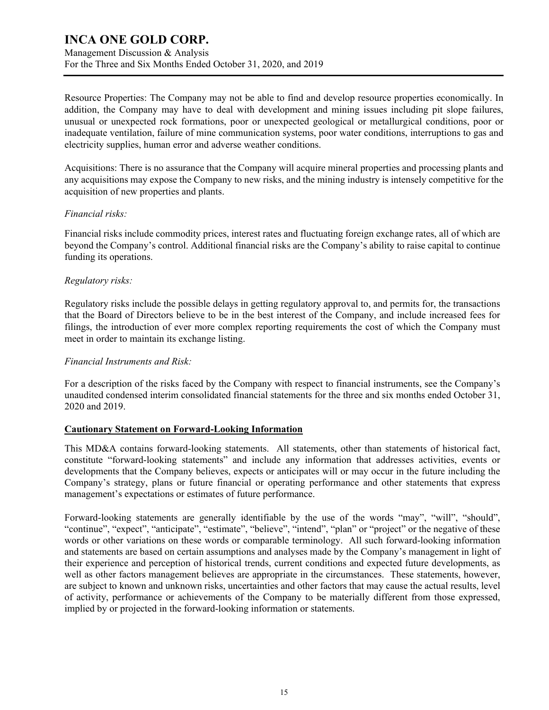Management Discussion & Analysis For the Three and Six Months Ended October 31, 2020, and 2019

Resource Properties: The Company may not be able to find and develop resource properties economically. In addition, the Company may have to deal with development and mining issues including pit slope failures, unusual or unexpected rock formations, poor or unexpected geological or metallurgical conditions, poor or inadequate ventilation, failure of mine communication systems, poor water conditions, interruptions to gas and electricity supplies, human error and adverse weather conditions.

Acquisitions: There is no assurance that the Company will acquire mineral properties and processing plants and any acquisitions may expose the Company to new risks, and the mining industry is intensely competitive for the acquisition of new properties and plants.

#### *Financial risks:*

Financial risks include commodity prices, interest rates and fluctuating foreign exchange rates, all of which are beyond the Company's control. Additional financial risks are the Company's ability to raise capital to continue funding its operations.

#### *Regulatory risks:*

Regulatory risks include the possible delays in getting regulatory approval to, and permits for, the transactions that the Board of Directors believe to be in the best interest of the Company, and include increased fees for filings, the introduction of ever more complex reporting requirements the cost of which the Company must meet in order to maintain its exchange listing.

#### *Financial Instruments and Risk:*

For a description of the risks faced by the Company with respect to financial instruments, see the Company's unaudited condensed interim consolidated financial statements for the three and six months ended October 31, 2020 and 2019.

#### **Cautionary Statement on Forward-Looking Information**

This MD&A contains forward-looking statements. All statements, other than statements of historical fact, constitute "forward-looking statements" and include any information that addresses activities, events or developments that the Company believes, expects or anticipates will or may occur in the future including the Company's strategy, plans or future financial or operating performance and other statements that express management's expectations or estimates of future performance.

Forward-looking statements are generally identifiable by the use of the words "may", "will", "should", "continue", "expect", "anticipate", "estimate", "believe", "intend", "plan" or "project" or the negative of these words or other variations on these words or comparable terminology. All such forward-looking information and statements are based on certain assumptions and analyses made by the Company's management in light of their experience and perception of historical trends, current conditions and expected future developments, as well as other factors management believes are appropriate in the circumstances. These statements, however, are subject to known and unknown risks, uncertainties and other factors that may cause the actual results, level of activity, performance or achievements of the Company to be materially different from those expressed, implied by or projected in the forward-looking information or statements.